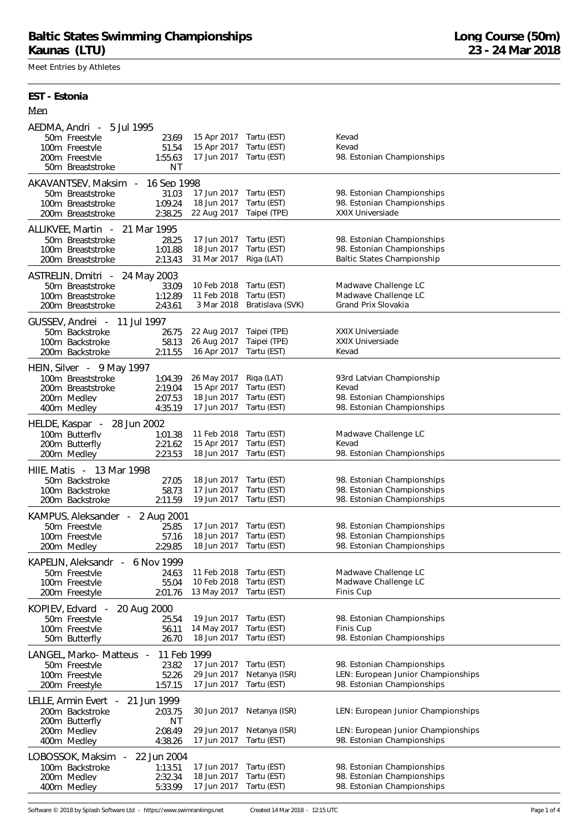Meet Entries by Athletes

**EST - Estonia**

| Men                                                                                                                                                               |                                                                   |                                                         |                                                                                                        |
|-------------------------------------------------------------------------------------------------------------------------------------------------------------------|-------------------------------------------------------------------|---------------------------------------------------------|--------------------------------------------------------------------------------------------------------|
| AEDMA, Andri - 5 Jul 1995<br>23.69<br>50m Freestyle<br>100m Freestyle<br>51.54<br>200m Freestyle<br>1:55.63<br>50m Breaststroke                                   | 15 Apr 2017 Tartu (EST)<br>15 Apr 2017<br>17 Jun 2017<br>ΝT       | Tartu (EST)<br>Tartu (EST)                              | Kevad<br>Kevad<br>98. Estonian Championships                                                           |
| AKAVANTSEV, Maksim<br>$\overline{\phantom{a}}$<br>50m Breaststroke<br>31.03<br>1:09.24<br>100m Breaststroke<br>2:38.25<br>200m Breaststroke                       | 16 Sep 1998<br>17 Jun 2017<br>18 Jun 2017<br>22 Aug 2017          | Tartu (EST)<br>Tartu (EST)<br>Taipei (TPE)              | 98. Estonian Championships<br>98. Estonian Championships<br><b>XXIX Universiade</b>                    |
| 21 Mar 1995<br>ALLIKVEE, Martin<br>$\sim$ $-$<br>28.25<br>50m Breaststroke<br>1:01.88<br>100m Breaststroke<br>200m Breaststroke<br>2:13.43                        | 17 Jun 2017<br>18 Jun 2017<br>31 Mar 2017                         | Tartu (EST)<br>Tartu (EST)<br>Riga (LAT)                | 98. Estonian Championships<br>98. Estonian Championships<br>Baltic States Championship                 |
| ASTRELIN, Dmitri - 24 May 2003<br>50m Breaststroke<br>33.09<br>1:12.89<br>100m Breaststroke<br>200m Breaststroke<br>2:43.61                                       | 10 Feb 2018<br>11 Feb 2018<br>3 Mar 2018                          | Tartu (EST)<br>Tartu (EST)<br>Bratislava (SVK)          | Madwave Challenge LC<br>Madwave Challenge LC<br>Grand Prix Slovakia                                    |
| GUSSEV, Andrei - 11 Jul 1997<br>50m Backstroke<br>26.75<br>58.13<br>100m Backstroke<br>2:11.55<br>200m Backstroke                                                 | 22 Aug 2017<br>26 Aug 2017<br>16 Apr 2017                         | Taipei (TPE)<br>Taipei (TPE)<br>Tartu (EST)             | XXIX Universiade<br><b>XXIX Universiade</b><br>Kevad                                                   |
| HEIN, Silver - 9 May 1997<br>100m Breaststroke<br>1:04.39<br>200m Breaststroke<br>2:19.04<br>200m Medlev<br>2:07.53<br>400m Medley<br>4:35.19                     | 26 May 2017<br>15 Apr 2017<br>18 Jun 2017<br>17 Jun 2017          | Riga (LAT)<br>Tartu (EST)<br>Tartu (EST)<br>Tartu (EST) | 93rd Latvian Championship<br>Kevad<br>98. Estonian Championships<br>98. Estonian Championships         |
| HELDE, Kaspar -<br>28 Jun 2002<br>100m Butterfly<br>1:01.38<br>200m Butterfly<br>2:21.62<br>2:23.53<br>200m Medley                                                | 11 Feb 2018<br>15 Apr 2017<br>18 Jun 2017                         | Tartu (EST)<br>Tartu (EST)<br>Tartu (EST)               | Madwave Challenge LC<br>Kevad<br>98. Estonian Championships                                            |
| HIIE, Matis - 13 Mar 1998<br>27.05<br>50m Backstroke<br>58.73<br>100m Backstroke<br>2:11.59<br>200m Backstroke                                                    | 18 Jun 2017<br>17 Jun 2017<br>19 Jun 2017                         | Tartu (EST)<br>Tartu (EST)<br>Tartu (EST)               | 98. Estonian Championships<br>98. Estonian Championships<br>98. Estonian Championships                 |
| KAMPUS, Aleksander<br>2 Aug 2001<br>$\overline{\phantom{a}}$<br>50m Freestyle<br>25.85<br>100m Freestyle<br>57.16<br>2:29.85<br>200m Medley                       | 17 Jun 2017<br>18 Jun 2017 Tartu (EST)<br>18 Jun 2017 Tartu (EST) | Tartu (EST)                                             | 98. Estonian Championships<br>98. Estonian Championships<br>98. Estonian Championships                 |
| 6 Nov 1999<br>KAPELIN, Aleksandr<br>$\sim$<br>50m Freestyle<br>24.63<br>100m Freestvle<br>55.04<br>2:01.76<br>200m Freestyle                                      | 11 Feb 2018<br>10 Feb 2018<br>13 May 2017                         | Tartu (EST)<br>Tartu (EST)<br>Tartu (EST)               | Madwave Challenge LC<br>Madwave Challenge LC<br>Finis Cup                                              |
| 20 Aug 2000<br>KOPJEV, Edvard<br>$\sim$<br>50m Freestvle<br>25.54<br>100m Freestyle<br>56.11<br>26.70<br>50m Butterfly                                            | 19 Jun 2017<br>14 May 2017<br>18 Jun 2017                         | Tartu (EST)<br>Tartu (EST)<br>Tartu (EST)               | 98. Estonian Championships<br>Finis Cup<br>98. Estonian Championships                                  |
| LANGEL, Marko-Matteus -<br>50m Freestyle<br>52.26<br>100m Freestyle<br>1:57.15<br>200m Freestyle                                                                  | 11 Feb 1999<br>17 Jun 2017<br>23.82<br>29 Jun 2017<br>17 Jun 2017 | Tartu (EST)<br>Netanya (ISR)<br>Tartu (EST)             | 98. Estonian Championships<br>LEN: European Junior Championships<br>98. Estonian Championships         |
| LELLE, Armin Evert<br>21 Jun 1999<br>$\overline{\phantom{a}}$<br>200m Backstroke<br>2:03.75<br>200m Butterfly<br>200m Medlev<br>2:08.49<br>4:38.26<br>400m Medley | 30 Jun 2017<br>ΝT<br>29 Jun 2017<br>17 Jun 2017                   | Netanya (ISR)<br>Netanya (ISR)<br>Tartu (EST)           | LEN: European Junior Championships<br>LEN: European Junior Championships<br>98. Estonian Championships |
| LOBOSSOK, Maksim<br>22 Jun 2004<br>$\overline{\phantom{a}}$<br>1:13.51<br>100m Backstroke<br>200m Medlev<br>2:32.34<br>5:33.99<br>400m Medley                     | 17 Jun 2017<br>18 Jun 2017<br>17 Jun 2017                         | Tartu (EST)<br>Tartu (EST)<br>Tartu (EST)               | 98. Estonian Championships<br>98. Estonian Championships<br>98. Estonian Championships                 |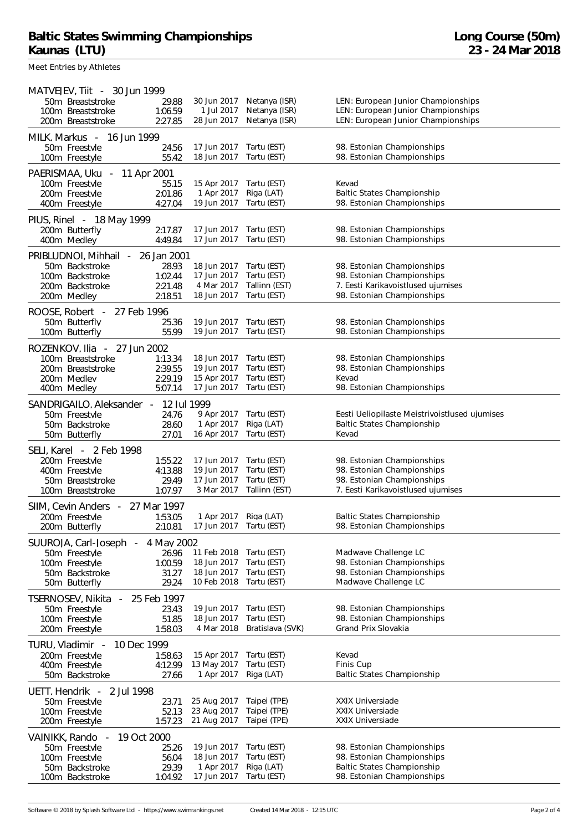Meet Entries by Athletes

| MATVEJEV, Tiit - 30 Jun 1999<br>50m Breaststroke<br>100m Breaststroke<br>200m Breaststroke                                        | 29.88<br>1:06.59<br>2:27.85                           | 30 Jun 2017<br>1 Jul 2017<br>28 Jun 2017                 | Netanya (ISR)<br>Netanya (ISR)<br>Netanya (ISR)            | LEN: European Junior Championships<br>LEN: European Junior Championships<br>LEN: European Junior Championships               |
|-----------------------------------------------------------------------------------------------------------------------------------|-------------------------------------------------------|----------------------------------------------------------|------------------------------------------------------------|------------------------------------------------------------------------------------------------------------------------------|
| MILK, Markus -<br>16 Jun 1999<br>50m Freestyle<br>100m Freestyle                                                                  | 24.56<br>55.42                                        | 17 Jun 2017<br>18 Jun 2017                               | Tartu (EST)<br>Tartu (EST)                                 | 98. Estonian Championships<br>98. Estonian Championships                                                                     |
| PAERISMAA, Uku<br>11 Apr 2001<br>$\overline{\phantom{a}}$<br>100m Freestyle<br>200m Freestvle<br>400m Freestyle                   | 55.15<br>2:01.86<br>4:27.04                           | 15 Apr 2017<br>1 Apr 2017<br>19 Jun 2017                 | Tartu (EST)<br>Riga (LAT)<br>Tartu (EST)                   | Kevad<br><b>Baltic States Championship</b><br>98. Estonian Championships                                                     |
| PIUS, Rinel - 18 May 1999<br>200m Butterfly<br>400m Medley                                                                        | 2:17.87<br>4:49.84                                    | 17 Jun 2017<br>17 Jun 2017                               | Tartu (EST)<br>Tartu (EST)                                 | 98. Estonian Championships<br>98. Estonian Championships                                                                     |
| PRIBLUDNOI, Mihhail<br>$\overline{\phantom{a}}$<br>50m Backstroke<br>100m Backstroke<br>200m Backstroke<br>200m Medley            | 26 Jan 2001<br>28.93<br>1:02.44<br>2:21.48<br>2:18.51 | 18 Jun 2017<br>17 Jun 2017<br>4 Mar 2017<br>18 Jun 2017  | Tartu (EST)<br>Tartu (EST)<br>Tallinn (EST)<br>Tartu (EST) | 98. Estonian Championships<br>98. Estonian Championships<br>7. Eesti Karikavoistlused ujumises<br>98. Estonian Championships |
| ROOSE, Robert -<br>27 Feb 1996<br>50m Butterfly<br>100m Butterfly                                                                 | 25.36<br>55.99                                        | 19 Jun 2017<br>19 Jun 2017                               | Tartu (EST)<br>Tartu (EST)                                 | 98. Estonian Championships<br>98. Estonian Championships                                                                     |
| ROZENKOV, Ilia - 27 Jun 2002<br>100m Breaststroke<br>200m Breaststroke<br>200m Medlev<br>400m Medley                              | 1:13.34<br>2:39.55<br>2:29.19<br>5:07.14              | 18 Jun 2017<br>19 Jun 2017<br>15 Apr 2017<br>17 Jun 2017 | Tartu (EST)<br>Tartu (EST)<br>Tartu (EST)<br>Tartu (EST)   | 98. Estonian Championships<br>98. Estonian Championships<br>Kevad<br>98. Estonian Championships                              |
| SANDRIGAILO, Aleksander<br>50m Freestyle<br>50m Backstroke<br>50m Butterfly                                                       | 12 Jul 1999<br>$\sim$<br>24.76<br>28.60<br>27.01      | 9 Apr 2017<br>1 Apr 2017<br>16 Apr 2017                  | Tartu (EST)<br>Riga (LAT)<br>Tartu (EST)                   | Eesti Ueliopilaste Meistrivoistlused ujumises<br><b>Baltic States Championship</b><br>Kevad                                  |
| SELI, Karel - 2 Feb 1998<br>200m Freestyle<br>400m Freestyle<br>50m Breaststroke<br>100m Breaststroke                             | 1:55.22<br>4:13.88<br>29.49<br>1:07.97                | 17 Jun 2017<br>19 Jun 2017<br>17 Jun 2017<br>3 Mar 2017  | Tartu (EST)<br>Tartu (EST)<br>Tartu (EST)<br>Tallinn (EST) | 98. Estonian Championships<br>98. Estonian Championships<br>98. Estonian Championships<br>7. Eesti Karikavoistlused ujumises |
| SIIM, Cevin Anders<br>$\overline{\phantom{a}}$<br>200m Freestyle<br>200m Butterfly                                                | 27 Mar 1997<br>1:53.05<br>2:10.81                     | 1 Apr 2017 Riga (LAT)<br>17 Jun 2017                     | Tartu (EST)                                                | <b>Baltic States Championship</b><br>98. Estonian Championships                                                              |
| SUUROJA, Carl-Joseph<br>50m Freestvle<br>100m Freestyle<br>50m Backstroke<br>50m Butterfly                                        | 4 May 2002<br>26.96<br>1:00.59<br>31.27<br>29.24      | 11 Feb 2018<br>18 Jun 2017<br>18 Jun 2017<br>10 Feb 2018 | Tartu (EST)<br>Tartu (EST)<br>Tartu (EST)<br>Tartu (EST)   | Madwave Challenge LC<br>98. Estonian Championships<br>98. Estonian Championships<br>Madwave Challenge LC                     |
| TSERNOSEV, Nikita<br>$\sim$<br>50m Freestyle<br>100m Freestyle<br>200m Freestyle                                                  | 25 Feb 1997<br>23.43<br>51.85<br>1:58.03              | 19 Jun 2017<br>18 Jun 2017<br>4 Mar 2018                 | Tartu (EST)<br>Tartu (EST)<br>Bratislava (SVK)             | 98. Estonian Championships<br>98. Estonian Championships<br>Grand Prix Slovakia                                              |
| TURU, Vladimir -<br>10 Dec 1999<br>200m Freestyle<br>400m Freestvle<br>50m Backstroke                                             | 1:58.63<br>4:12.99<br>27.66                           | 15 Apr 2017<br>13 May 2017<br>1 Apr 2017                 | Tartu (EST)<br>Tartu (EST)<br>Riga (LAT)                   | Kevad<br>Finis Cup<br>Baltic States Championship                                                                             |
| UETT, Hendrik<br>2 Jul 1998<br>$\sim$<br>50m Freestyle<br>100m Freestvle<br>200m Freestyle                                        | 23.71<br>52.13<br>1:57.23                             | 25 Aug 2017<br>23 Aug 2017<br>21 Aug 2017                | Taipei (TPE)<br>Taipei (TPE)<br>Taipei (TPE)               | <b>XXIX Universiade</b><br><b>XXIX Universiade</b><br>XXIX Universiade                                                       |
| VAINIKK, Rando<br>19 Oct 2000<br>$\overline{\phantom{a}}$<br>50m Freestyle<br>100m Freestvle<br>50m Backstroke<br>100m Backstroke | 25.26<br>56.04<br>29.39<br>1:04.92                    | 19 Jun 2017<br>18 Jun 2017<br>1 Apr 2017<br>17 Jun 2017  | Tartu (EST)<br>Tartu (EST)<br>Riga (LAT)<br>Tartu (EST)    | 98. Estonian Championships<br>98. Estonian Championships<br><b>Baltic States Championship</b><br>98. Estonian Championships  |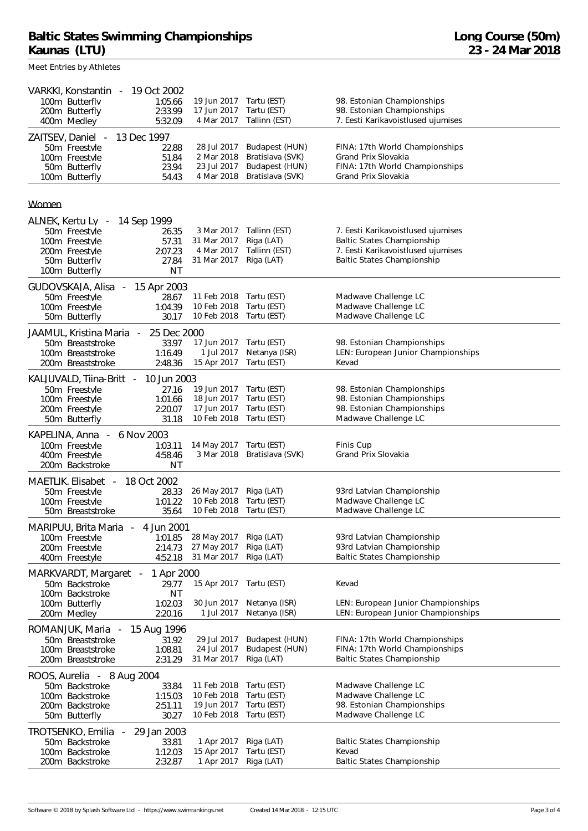| VARKKI, Konstantin<br>100m Butterfly<br>400m Medley           | 200m Butterfly                                                     |             | 19 Oct 2002<br>1:05.66<br>2:33.99<br>5:32.09 | 19 Jun 2017<br>17 Jun 2017<br>4 Mar 2017               | Tartu (EST)<br>Tartu (EST)<br>Tallinn (EST)                              | 98. Estonian Championships<br>98. Estonian Championships<br>7. Eesti Karikavoistlused ujumises                                                     |
|---------------------------------------------------------------|--------------------------------------------------------------------|-------------|----------------------------------------------|--------------------------------------------------------|--------------------------------------------------------------------------|----------------------------------------------------------------------------------------------------------------------------------------------------|
| ZAITSEV, Daniel -<br>100m Butterfly                           | 50m Freestyle<br>100m Freestyle<br>50m Butterfly                   | 13 Dec 1997 | 22.88<br>51.84<br>23.94<br>54.43             | 28 Jul 2017<br>2 Mar 2018<br>23 Jul 2017<br>4 Mar 2018 | Budapest (HUN)<br>Bratislava (SVK)<br>Budapest (HUN)<br>Bratislava (SVK) | FINA: 17th World Championships<br>Grand Prix Slovakia<br>FINA: 17th World Championships<br>Grand Prix Slovakia                                     |
| Women                                                         |                                                                    |             |                                              |                                                        |                                                                          |                                                                                                                                                    |
| ALNEK, Kertu Lv -                                             |                                                                    | 14 Sep 1999 |                                              |                                                        |                                                                          |                                                                                                                                                    |
| 100m Butterfly                                                | 50m Freestyle<br>100m Freestyle<br>200m Freestyle<br>50m Butterfly |             | 26.35<br>57.31<br>2:07.23<br>27.84<br>ΝT     | 3 Mar 2017<br>31 Mar 2017<br>4 Mar 2017<br>31 Mar 2017 | Tallinn (EST)<br>Riga (LAT)<br>Tallinn (EST)<br>Riga (LAT)               | 7. Eesti Karikavoistlused ujumises<br><b>Baltic States Championship</b><br>7. Eesti Karikavoistlused ujumises<br><b>Baltic States Championship</b> |
|                                                               | GUDOVSKAJA, Alisa                                                  |             | 15 Apr 2003                                  |                                                        |                                                                          |                                                                                                                                                    |
|                                                               | 50m Freestyle<br>100m Freestvle<br>50m Butterfly                   |             | 28.67<br>1:04.39<br>30.17                    | 11 Feb 2018<br>10 Feb 2018<br>10 Feb 2018              | Tartu (EST)<br>Tartu (EST)<br>Tartu (EST)                                | Madwave Challenge LC<br>Madwave Challenge LC<br>Madwave Challenge LC                                                                               |
|                                                               | JAAMUL, Kristina Maria                                             |             | 25 Dec 2000                                  |                                                        |                                                                          |                                                                                                                                                    |
|                                                               | 50m Breaststroke<br>100m Breaststroke<br>200m Breaststroke         |             | 33.97<br>1:16.49<br>2:48.36                  | 17 Jun 2017<br>1 Jul 2017<br>15 Apr 2017               | Tartu (EST)<br>Netanya (ISR)<br>Tartu (EST)                              | 98. Estonian Championships<br>LEN: European Junior Championships<br>Kevad                                                                          |
|                                                               | KALJUVALD, Tiina-Britt                                             | $\sim$ $-$  | 10 Jun 2003                                  |                                                        |                                                                          |                                                                                                                                                    |
|                                                               | 50m Freestyle<br>100m Freestyle                                    |             | 27.16<br>1:01.66                             | 19 Jun 2017<br>18 Jun 2017                             | Tartu (EST)<br>Tartu (EST)                                               | 98. Estonian Championships<br>98. Estonian Championships                                                                                           |
|                                                               | 200m Freestyle<br>50m Butterfly                                    |             | 2:20.07<br>31.18                             | 17 Jun 2017<br>10 Feb 2018                             | Tartu (EST)<br>Tartu (EST)                                               | 98. Estonian Championships<br>Madwave Challenge LC                                                                                                 |
| KAPELINA, Anna                                                | $\overline{\phantom{a}}$                                           | 6 Nov 2003  |                                              |                                                        |                                                                          |                                                                                                                                                    |
|                                                               | 100m Freestyle<br>400m Freestyle<br>200m Backstroke                |             | 1:03.11<br>4:58.46<br>ΝT                     | 14 May 2017<br>3 Mar 2018                              | Tartu (EST)<br>Bratislava (SVK)                                          | Finis Cup<br>Grand Prix Slovakia                                                                                                                   |
| MAETLIK, Elisabet                                             | $\sim$                                                             |             | 18 Oct 2002                                  |                                                        |                                                                          |                                                                                                                                                    |
|                                                               | 50m Freestvle                                                      |             | 28.33                                        | 26 May 2017<br>10 Feb 2018                             | Riga (LAT)<br>Tartu (EST)                                                | 93rd Latvian Championship<br>Madwave Challenge LC                                                                                                  |
|                                                               | 100m Freestyle<br>50m Breaststroke                                 |             | 1:01.22<br>35.64                             | 10 Feb 2018                                            | Tartu (EST)                                                              | Madwave Challenge LC                                                                                                                               |
|                                                               | MARIPUU, Brita Maria                                               |             | 4 Jun 2001                                   |                                                        |                                                                          |                                                                                                                                                    |
|                                                               | 100m Freestyle<br>200m Freestyle                                   |             | 1:01.85<br>2:14.73                           | 28 May 2017<br>27 May 2017                             | Riga (LAT)<br>Riga (LAT)                                                 | 93rd Latvian Championship<br>93rd Latvian Championship                                                                                             |
|                                                               | 400m Freestyle                                                     |             | 4:52.18                                      | 31 Mar 2017                                            | Riga (LAT)                                                               | <b>Baltic States Championship</b>                                                                                                                  |
| MARKVARDT, Margaret<br>1 Apr 2000<br>$\overline{\phantom{a}}$ |                                                                    |             |                                              |                                                        |                                                                          |                                                                                                                                                    |
|                                                               | 50m Backstroke<br>100m Backstroke                                  |             | 29.77<br>ΝT                                  | 15 Apr 2017                                            | Tartu (EST)                                                              | Kevad                                                                                                                                              |
| 200m Medley                                                   | 100m Butterfly                                                     |             | 1:02.03<br>2:20.16                           | 30 Jun 2017<br>1 Jul 2017                              | Netanya (ISR)<br>Netanya (ISR)                                           | LEN: European Junior Championships<br>LEN: European Junior Championships                                                                           |
| ROMANJUK, Maria<br>15 Aug 1996<br>$\overline{\phantom{a}}$    |                                                                    |             |                                              |                                                        |                                                                          |                                                                                                                                                    |
|                                                               | 50m Breaststroke                                                   |             | 31.92                                        | 29 Jul 2017                                            | Budapest (HUN)                                                           | FINA: 17th World Championships                                                                                                                     |
|                                                               | 100m Breaststroke<br>200m Breaststroke                             |             | 1:08.81<br>2:31.29                           | 24 Jul 2017<br>31 Mar 2017                             | Budapest (HUN)<br>Riga (LAT)                                             | FINA: 17th World Championships<br>Baltic States Championship                                                                                       |
|                                                               | ROOS, Aurelia - 8 Aug 2004                                         |             |                                              |                                                        |                                                                          |                                                                                                                                                    |
|                                                               | 50m Backstroke                                                     |             | 33.84                                        | 11 Feb 2018                                            | Tartu (EST)                                                              | Madwave Challenge LC                                                                                                                               |
|                                                               | 100m Backstroke<br>200m Backstroke                                 |             | 1:15.03<br>2:51.11                           | 10 Feb 2018<br>19 Jun 2017                             | Tartu (EST)<br>Tartu (EST)                                               | Madwave Challenge LC<br>98. Estonian Championships                                                                                                 |
|                                                               | 50m Butterfly                                                      |             | 30.27                                        | 10 Feb 2018                                            | Tartu (EST)                                                              | Madwave Challenge LC                                                                                                                               |
|                                                               | TROTSENKO, Emilia                                                  |             | 29 Jan 2003                                  |                                                        |                                                                          |                                                                                                                                                    |
|                                                               | 50m Backstroke<br>100m Backstroke                                  |             | 33.81<br>1:12.03                             | 1 Apr 2017<br>15 Apr 2017                              | Riga (LAT)<br>Tartu (EST)                                                | Baltic States Championship<br>Kevad                                                                                                                |
|                                                               |                                                                    |             | 2:32.87                                      | 1 Apr 2017                                             | Riga (LAT)                                                               | <b>Baltic States Championship</b>                                                                                                                  |